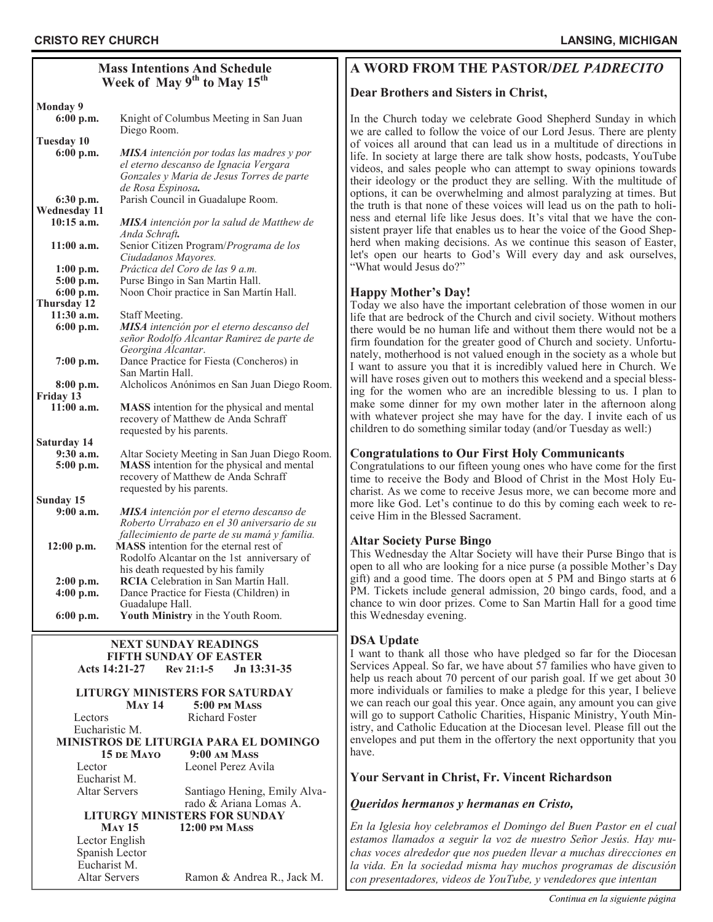# **Mass Intentions And Schedule Week of May 9th to May 15th**

| <b>Monday 9</b>       |                                                                                             |
|-----------------------|---------------------------------------------------------------------------------------------|
| 6:00 p.m.             | Knight of Columbus Meeting in San Juan                                                      |
|                       | Diego Room.                                                                                 |
| <b>Tuesday 10</b>     |                                                                                             |
| 6:00 p.m.             | <b>MISA</b> intención por todas las madres y por                                            |
|                       | el eterno descanso de Ignacia Vergara                                                       |
|                       | Gonzales y Maria de Jesus Torres de parte                                                   |
|                       | de Rosa Espinosa.                                                                           |
| 6:30 p.m.             | Parish Council in Guadalupe Room.                                                           |
| <b>Wednesday 11</b>   |                                                                                             |
| $10:15$ a.m.          | MISA intención por la salud de Matthew de                                                   |
|                       | Anda Schraft.                                                                               |
| $11:00$ a.m.          | Senior Citizen Program/Programa de los                                                      |
|                       | Ciudadanos Mayores.                                                                         |
| $1:00$ p.m.           | Práctica del Coro de las 9 a.m.                                                             |
| 5:00 p.m.             | Purse Bingo in San Martin Hall.                                                             |
| 6:00 p.m.             | Noon Choir practice in San Martín Hall.                                                     |
| Thursday 12           |                                                                                             |
| 11:30 a.m.            | Staff Meeting.                                                                              |
| 6:00 p.m.             | MISA intención por el eterno descanso del                                                   |
|                       | señor Rodolfo Alcantar Ramirez de parte de                                                  |
|                       | Georgina Alcantar.                                                                          |
| $7:00$ p.m.           | Dance Practice for Fiesta (Concheros) in                                                    |
|                       | San Martin Hall.                                                                            |
| $8:00$ p.m.           | Alcholicos Anónimos en San Juan Diego Room.                                                 |
| Friday 13             |                                                                                             |
| $11:00$ a.m.          | MASS intention for the physical and mental                                                  |
|                       | recovery of Matthew de Anda Schraff                                                         |
|                       | requested by his parents.                                                                   |
| Saturday 14           |                                                                                             |
| 9:30 a.m.             | Altar Society Meeting in San Juan Diego Room.                                               |
| 5:00 p.m.             | MASS intention for the physical and mental                                                  |
|                       | recovery of Matthew de Anda Schraff                                                         |
|                       | requested by his parents.                                                                   |
| Sunday 15<br>9:00a.m. |                                                                                             |
|                       | MISA intención por el eterno descanso de                                                    |
|                       | Roberto Urrabazo en el 30 aniversario de su<br>fallecimiento de parte de su mamá y familia. |
|                       | MASS intention for the eternal rest of                                                      |
| $12:00$ p.m.          | Rodolfo Alcantar on the 1st anniversary of                                                  |
|                       | his death requested by his family                                                           |
| $2:00$ p.m.           | RCIA Celebration in San Martín Hall.                                                        |
| $4:00$ p.m.           | Dance Practice for Fiesta (Children) in                                                     |
|                       | Guadalupe Hall.                                                                             |
| 6:00 p.m.             | Youth Ministry in the Youth Room.                                                           |
|                       |                                                                                             |

#### **NEXT SUNDAY READINGS FIFTH SUNDAY OF EASTER Acts 14:21-27 [Rev 21:1](https://bible.usccb.org/bible/revelation/1?9)-5 Jn 13:31-35**

# **LITURGY MINISTERS FOR SATURDAY**

Eucharistic M.

**May 14 5:00 pm Mass** Lectors Richard Foster

 **MINISTROS DE LITURGIA PARA EL DOMINGO 15 de Mayo 9:00 am Mass** Lector Leonel Perez Avila

Eucharist M.

 Altar Servers Santiago Hening, Emily Alva rado & Ariana Lomas A.

**LITURGY MINISTERS FOR SUNDAY May 15 12:00 pm Mass**

 Lector English Spanish Lector Eucharist M.

Altar Servers Ramon & Andrea R., Jack M.

# **A WORD FROM THE PASTOR/***DEL PADRECITO*

# **Dear Brothers and Sisters in Christ,**

In the Church today we celebrate Good Shepherd Sunday in which we are called to follow the voice of our Lord Jesus. There are plenty of voices all around that can lead us in a multitude of directions in life. In society at large there are talk show hosts, podcasts, YouTube videos, and sales people who can attempt to sway opinions towards their ideology or the product they are selling. With the multitude of options, it can be overwhelming and almost paralyzing at times. But the truth is that none of these voices will lead us on the path to holiness and eternal life like Jesus does. It's vital that we have the consistent prayer life that enables us to hear the voice of the Good Shepherd when making decisions. As we continue this season of Easter, let's open our hearts to God's Will every day and ask ourselves, "What would Jesus do?"

# **Happy Mother's Day!**

Today we also have the important celebration of those women in our life that are bedrock of the Church and civil society. Without mothers there would be no human life and without them there would not be a firm foundation for the greater good of Church and society. Unfortunately, motherhood is not valued enough in the society as a whole but I want to assure you that it is incredibly valued here in Church. We will have roses given out to mothers this weekend and a special blessing for the women who are an incredible blessing to us. I plan to make some dinner for my own mother later in the afternoon along with whatever project she may have for the day. I invite each of us children to do something similar today (and/or Tuesday as well:)

#### **Congratulations to Our First Holy Communicants**

Congratulations to our fifteen young ones who have come for the first time to receive the Body and Blood of Christ in the Most Holy Eucharist. As we come to receive Jesus more, we can become more and more like God. Let's continue to do this by coming each week to receive Him in the Blessed Sacrament.

#### **Altar Society Purse Bingo**

This Wednesday the Altar Society will have their Purse Bingo that is open to all who are looking for a nice purse (a possible Mother's Day gift) and a good time. The doors open at 5 PM and Bingo starts at 6 PM. Tickets include general admission, 20 bingo cards, food, and a chance to win door prizes. Come to San Martin Hall for a good time this Wednesday evening.

#### **DSA Update**

I want to thank all those who have pledged so far for the Diocesan Services Appeal. So far, we have about 57 families who have given to help us reach about 70 percent of our parish goal. If we get about 30 more individuals or families to make a pledge for this year, I believe we can reach our goal this year. Once again, any amount you can give will go to support Catholic Charities, Hispanic Ministry, Youth Ministry, and Catholic Education at the Diocesan level. Please fill out the envelopes and put them in the offertory the next opportunity that you have.

# **Your Servant in Christ, Fr. Vincent Richardson**

#### *Queridos hermanos y hermanas en Cristo,*

*En la Iglesia hoy celebramos el Domingo del Buen Pastor en el cual estamos llamados a seguir la voz de nuestro Señor Jesús. Hay muchas voces alrededor que nos pueden llevar a muchas direcciones en la vida. En la sociedad misma hay muchos programas de discusión con presentadores, videos de YouTube, y vendedores que intentan*